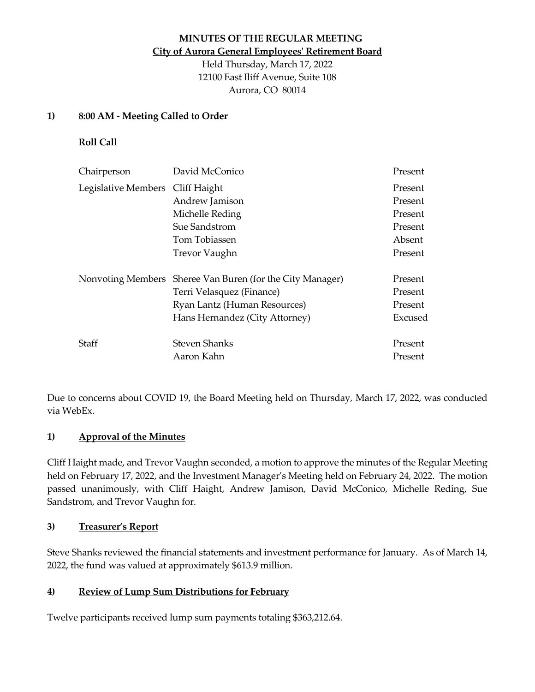# **MINUTES OF THE REGULAR MEETING City of Aurora General Employees' Retirement Board**

Held Thursday, March 17, 2022 12100 East Iliff Avenue, Suite 108 Aurora, CO 80014

### **1) 8:00 AM - Meeting Called to Order**

**Roll Call**

| Chairperson         | David McConico                          | Present |
|---------------------|-----------------------------------------|---------|
| Legislative Members | Cliff Haight                            | Present |
|                     | Andrew Jamison                          | Present |
|                     | Michelle Reding                         | Present |
|                     | Sue Sandstrom                           | Present |
|                     | Tom Tobiassen                           | Absent  |
|                     | <b>Trevor Vaughn</b>                    | Present |
| Nonvoting Members   | Sheree Van Buren (for the City Manager) | Present |
|                     | Terri Velasquez (Finance)               | Present |
|                     | Ryan Lantz (Human Resources)            | Present |
|                     | Hans Hernandez (City Attorney)          | Excused |
| Staff               | <b>Steven Shanks</b>                    | Present |
|                     | Aaron Kahn                              | Present |

Due to concerns about COVID 19, the Board Meeting held on Thursday, March 17, 2022, was conducted via WebEx.

# **1) Approval of the Minutes**

Cliff Haight made, and Trevor Vaughn seconded, a motion to approve the minutes of the Regular Meeting held on February 17, 2022, and the Investment Manager's Meeting held on February 24, 2022. The motion passed unanimously, with Cliff Haight, Andrew Jamison, David McConico, Michelle Reding, Sue Sandstrom, and Trevor Vaughn for.

#### **3) Treasurer's Report**

Steve Shanks reviewed the financial statements and investment performance for January. As of March 14, 2022, the fund was valued at approximately \$613.9 million.

# **4) Review of Lump Sum Distributions for February**

Twelve participants received lump sum payments totaling \$363,212.64.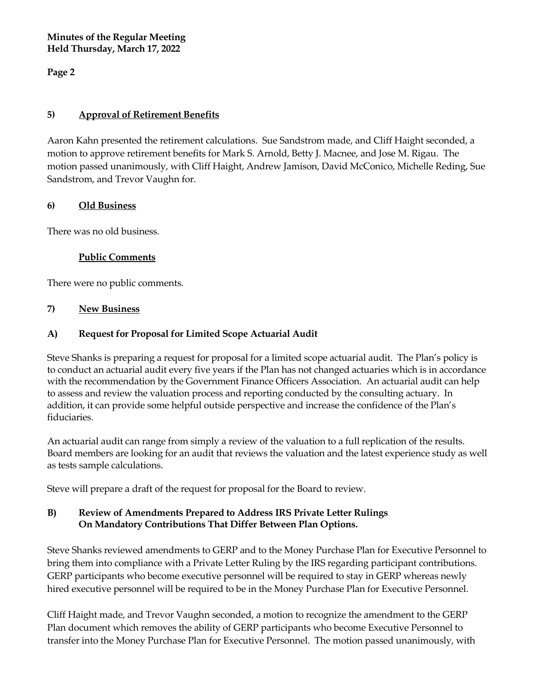**Minutes of the Regular Meeting Held Thursday, March 17, 2022**

**Page 2**

## **5) Approval of Retirement Benefits**

Aaron Kahn presented the retirement calculations. Sue Sandstrom made, and Cliff Haight seconded, a motion to approve retirement benefits for Mark S. Arnold, Betty J. Macnee, and Jose M. Rigau. The motion passed unanimously, with Cliff Haight, Andrew Jamison, David McConico, Michelle Reding, Sue Sandstrom, and Trevor Vaughn for.

### **6) Old Business**

There was no old business.

### **Public Comments**

There were no public comments.

#### **7) New Business**

# **A) Request for Proposal for Limited Scope Actuarial Audit**

Steve Shanks is preparing a request for proposal for a limited scope actuarial audit. The Plan's policy is to conduct an actuarial audit every five years if the Plan has not changed actuaries which is in accordance with the recommendation by the Government Finance Officers Association. An actuarial audit can help to assess and review the valuation process and reporting conducted by the consulting actuary. In addition, it can provide some helpful outside perspective and increase the confidence of the Plan's fiduciaries.

An actuarial audit can range from simply a review of the valuation to a full replication of the results. Board members are looking for an audit that reviews the valuation and the latest experience study as well as tests sample calculations.

Steve will prepare a draft of the request for proposal for the Board to review.

# **B) Review of Amendments Prepared to Address IRS Private Letter Rulings On Mandatory Contributions That Differ Between Plan Options.**

Steve Shanks reviewed amendments to GERP and to the Money Purchase Plan for Executive Personnel to bring them into compliance with a Private Letter Ruling by the IRS regarding participant contributions. GERP participants who become executive personnel will be required to stay in GERP whereas newly hired executive personnel will be required to be in the Money Purchase Plan for Executive Personnel.

Cliff Haight made, and Trevor Vaughn seconded, a motion to recognize the amendment to the GERP Plan document which removes the ability of GERP participants who become Executive Personnel to transfer into the Money Purchase Plan for Executive Personnel. The motion passed unanimously, with